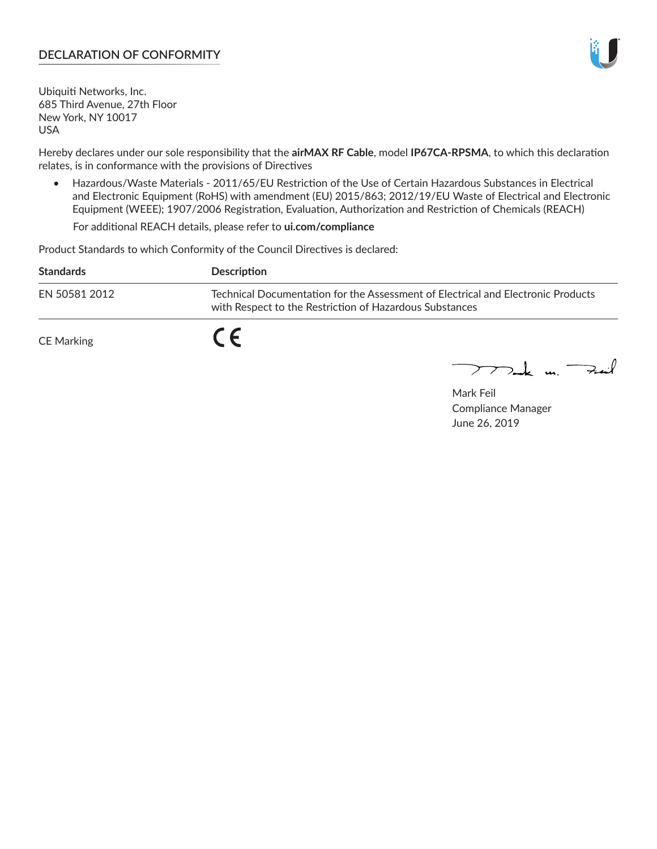# **DECLARATION OF CONFORMITY**

Ubiquiti Networks, Inc. 685 Third Avenue, 27th Floor New York, NY 10017 USA

Hereby declares under our sole responsibility that the **airMAX RF Cable**, model **IP67CA-RPSMA**, to which this declaration relates, is in conformance with the provisions of Directives

• Hazardous/Waste Materials - 2011/65/EU Restriction of the Use of Certain Hazardous Substances in Electrical and Electronic Equipment (RoHS) with amendment (EU) 2015/863; 2012/19/EU Waste of Electrical and Electronic Equipment (WEEE); 1907/2006 Registration, Evaluation, Authorization and Restriction of Chemicals (REACH)

For additional REACH details, please refer to **ui.com/compliance**

Product Standards to which Conformity of the Council Directives is declared:

| <b>Standards</b>  | Description                                                                                                                                 |
|-------------------|---------------------------------------------------------------------------------------------------------------------------------------------|
| EN 50581 2012     | Technical Documentation for the Assessment of Electrical and Electronic Products<br>with Respect to the Restriction of Hazardous Substances |
| <b>CE Marking</b> |                                                                                                                                             |

 $\sum_{n=1}^{\infty}$  un  $\sum_{n=1}^{\infty}$ 

Mark Feil Compliance Manager June 26, 2019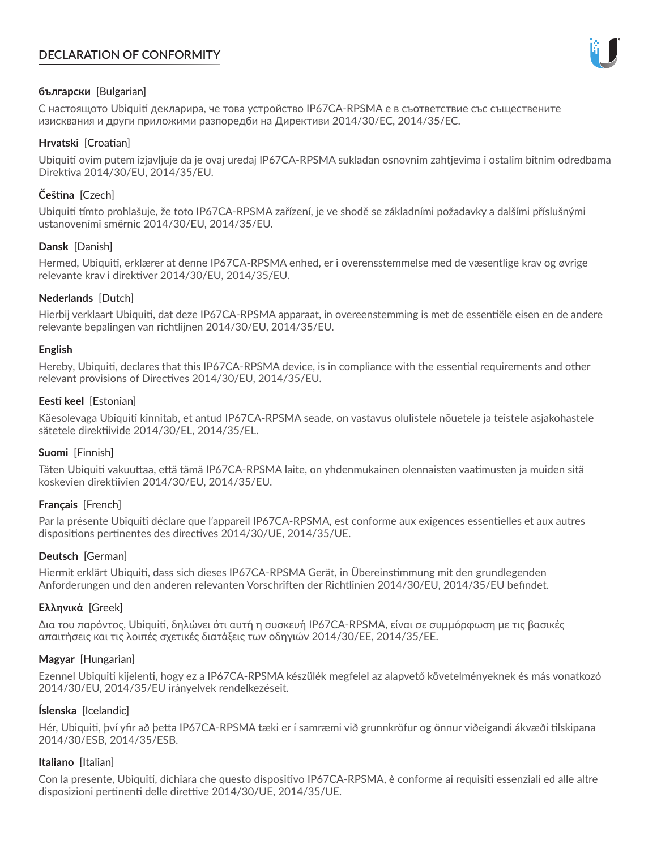# **DECLARATION OF CONFORMITY**



## **български** [Bulgarian]

С настоящото Ubiquiti декларира, че това устройство IP67CA-RPSMA е в съответствие със съществените изисквания и други приложими разпоредби на Директиви 2014/30/ЕС, 2014/35/ЕС.

## **Hrvatski** [Croatian]

Ubiquiti ovim putem izjavljuje da je ovaj uređaj IP67CA-RPSMA sukladan osnovnim zahtjevima i ostalim bitnim odredbama Direktiva 2014/30/EU, 2014/35/EU.

# **Čeština** [Czech]

Ubiquiti tímto prohlašuje, že toto IP67CA-RPSMA zařízení, je ve shodě se základními požadavky a dalšími příslušnými ustanoveními směrnic 2014/30/EU, 2014/35/EU.

## **Dansk** [Danish]

Hermed, Ubiquiti, erklærer at denne IP67CA-RPSMA enhed, er i overensstemmelse med de væsentlige krav og øvrige relevante krav i direktiver 2014/30/EU, 2014/35/EU.

## **Nederlands** [Dutch]

Hierbij verklaart Ubiquiti, dat deze IP67CA-RPSMA apparaat, in overeenstemming is met de essentiële eisen en de andere relevante bepalingen van richtlijnen 2014/30/EU, 2014/35/EU.

## **English**

Hereby, Ubiquiti, declares that this IP67CA-RPSMA device, is in compliance with the essential requirements and other relevant provisions of Directives 2014/30/EU, 2014/35/EU.

## **Eesti keel** [Estonian]

Käesolevaga Ubiquiti kinnitab, et antud IP67CA-RPSMA seade, on vastavus olulistele nõuetele ja teistele asjakohastele sätetele direktiivide 2014/30/EL, 2014/35/EL.

## **Suomi** [Finnish]

Täten Ubiquiti vakuuttaa, että tämä IP67CA-RPSMA laite, on yhdenmukainen olennaisten vaatimusten ja muiden sitä koskevien direktiivien 2014/30/EU, 2014/35/EU.

# **Français** [French]

Par la présente Ubiquiti déclare que l'appareil IP67CA-RPSMA, est conforme aux exigences essentielles et aux autres dispositions pertinentes des directives 2014/30/UE, 2014/35/UE.

# **Deutsch** [German]

Hiermit erklärt Ubiquiti, dass sich dieses IP67CA-RPSMA Gerät, in Übereinstimmung mit den grundlegenden Anforderungen und den anderen relevanten Vorschriften der Richtlinien 2014/30/EU, 2014/35/EU befindet.

## **Ελληνικά** [Greek]

Δια του παρόντος, Ubiquiti, δηλώνει ότι αυτή η συσκευή IP67CA-RPSMA, είναι σε συμμόρφωση με τις βασικές απαιτήσεις και τις λοιπές σχετικές διατάξεις των οδηγιών 2014/30/EE, 2014/35/EE.

## **Magyar** [Hungarian]

Ezennel Ubiquiti kijelenti, hogy ez a IP67CA-RPSMA készülék megfelel az alapvető követelményeknek és más vonatkozó 2014/30/EU, 2014/35/EU irányelvek rendelkezéseit.

## **Íslenska** [Icelandic]

Hér, Ubiquiti, því yfir að þetta IP67CA-RPSMA tæki er í samræmi við grunnkröfur og önnur viðeigandi ákvæði tilskipana 2014/30/ESB, 2014/35/ESB.

## **Italiano** [Italian]

Con la presente, Ubiquiti, dichiara che questo dispositivo IP67CA-RPSMA, è conforme ai requisiti essenziali ed alle altre disposizioni pertinenti delle direttive 2014/30/UE, 2014/35/UE.